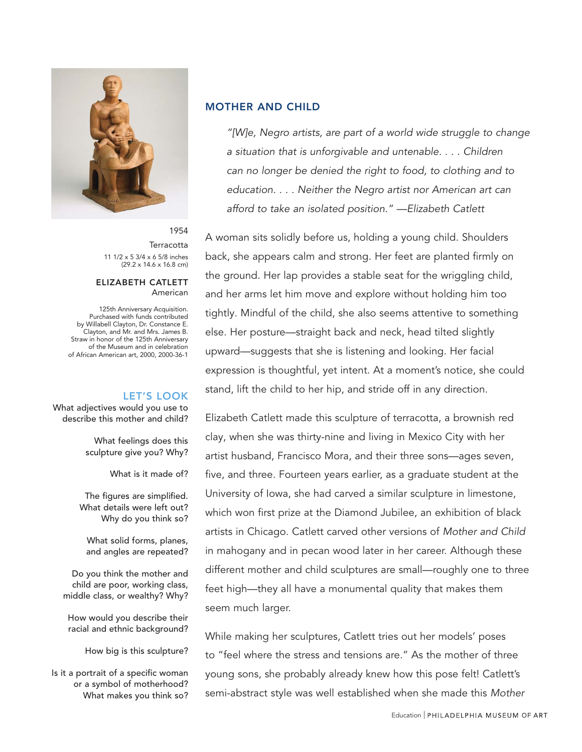

1954 **Terracotta** 11 1/2 x 5 3/4 x 6 5/8 inches (29.2 x 14.6 x 16.8 cm)

#### ELIZABETH CATLETT American

125th Anniversary Acquisition. Purchased with funds contributed by Willabell Clayton, Dr. Constance E. Clayton, and Mr. and Mrs. James B. Straw in honor of the 125th Anniversary of the Museum and in celebration of African American art, 2000, 2000-36-1

## LET'S LOOK

What adjectives would you use to describe this mother and child?

> What feelings does this sculpture give you? Why?

> > What is it made of?

The figures are simplified. What details were left out? Why do you think so?

What solid forms, planes, and angles are repeated?

Do you think the mother and child are poor, working class, middle class, or wealthy? Why?

How would you describe their racial and ethnic background?

How big is this sculpture?

Is it a portrait of a specific woman or a symbol of motherhood? What makes you think so?

#### MOTHER AND CHILD

"[W]e, Negro artists, are part of a world wide struggle to change a situation that is unforgivable and untenable. . . . Children can no longer be denied the right to food, to clothing and to education. . . . Neither the Negro artist nor American art can afford to take an isolated position." —Elizabeth Catlett

A woman sits solidly before us, holding a young child. Shoulders back, she appears calm and strong. Her feet are planted firmly on the ground. Her lap provides a stable seat for the wriggling child, and her arms let him move and explore without holding him too tightly. Mindful of the child, she also seems attentive to something else. Her posture—straight back and neck, head tilted slightly upward—suggests that she is listening and looking. Her facial expression is thoughtful, yet intent. At a moment's notice, she could stand, lift the child to her hip, and stride off in any direction.

Elizabeth Catlett made this sculpture of terracotta, a brownish red clay, when she was thirty-nine and living in Mexico City with her artist husband, Francisco Mora, and their three sons—ages seven, five, and three. Fourteen years earlier, as a graduate student at the University of Iowa, she had carved a similar sculpture in limestone, which won first prize at the Diamond Jubilee, an exhibition of black artists in Chicago. Catlett carved other versions of Mother and Child in mahogany and in pecan wood later in her career. Although these different mother and child sculptures are small—roughly one to three feet high—they all have a monumental quality that makes them seem much larger.

While making her sculptures, Catlett tries out her models' poses to "feel where the stress and tensions are." As the mother of three young sons, she probably already knew how this pose felt! Catlett's semi-abstract style was well established when she made this Mother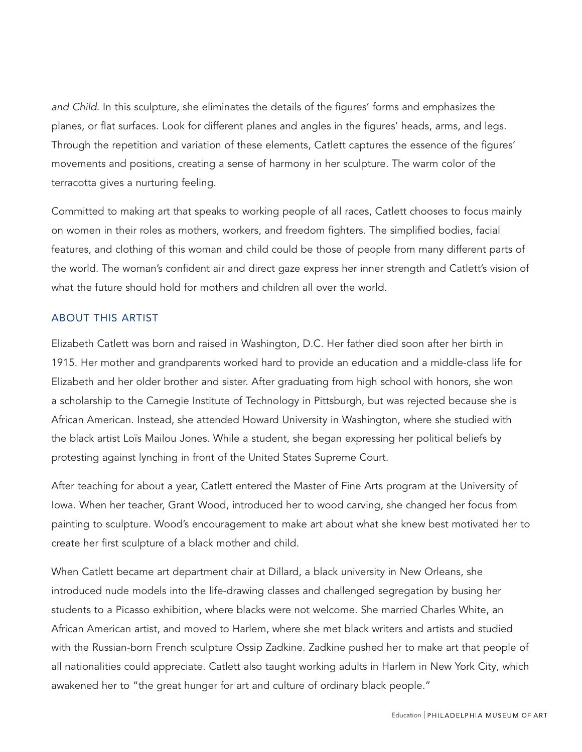and Child. In this sculpture, she eliminates the details of the figures' forms and emphasizes the planes, or flat surfaces. Look for different planes and angles in the figures' heads, arms, and legs. Through the repetition and variation of these elements, Catlett captures the essence of the figures' movements and positions, creating a sense of harmony in her sculpture. The warm color of the terracotta gives a nurturing feeling.

Committed to making art that speaks to working people of all races, Catlett chooses to focus mainly on women in their roles as mothers, workers, and freedom fighters. The simplified bodies, facial features, and clothing of this woman and child could be those of people from many different parts of the world. The woman's confident air and direct gaze express her inner strength and Catlett's vision of what the future should hold for mothers and children all over the world.

### ABOUT THIS ARTIST

Elizabeth Catlett was born and raised in Washington, D.C. Her father died soon after her birth in 1915. Her mother and grandparents worked hard to provide an education and a middle-class life for Elizabeth and her older brother and sister. After graduating from high school with honors, she won a scholarship to the Carnegie Institute of Technology in Pittsburgh, but was rejected because she is African American. Instead, she attended Howard University in Washington, where she studied with the black artist Loïs Mailou Jones. While a student, she began expressing her political beliefs by protesting against lynching in front of the United States Supreme Court.

After teaching for about a year, Catlett entered the Master of Fine Arts program at the University of Iowa. When her teacher, Grant Wood, introduced her to wood carving, she changed her focus from painting to sculpture. Wood's encouragement to make art about what she knew best motivated her to create her first sculpture of a black mother and child.

When Catlett became art department chair at Dillard, a black university in New Orleans, she introduced nude models into the life-drawing classes and challenged segregation by busing her students to a Picasso exhibition, where blacks were not welcome. She married Charles White, an African American artist, and moved to Harlem, where she met black writers and artists and studied with the Russian-born French sculpture Ossip Zadkine. Zadkine pushed her to make art that people of all nationalities could appreciate. Catlett also taught working adults in Harlem in New York City, which awakened her to "the great hunger for art and culture of ordinary black people."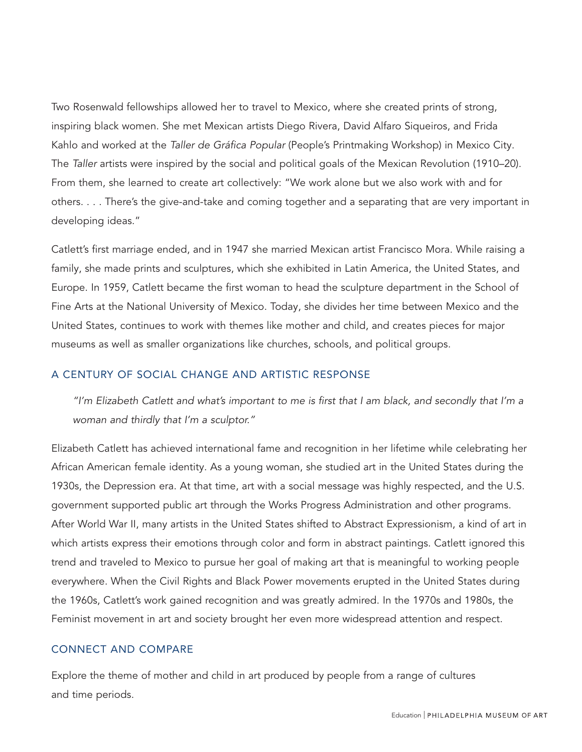Two Rosenwald fellowships allowed her to travel to Mexico, where she created prints of strong, inspiring black women. She met Mexican artists Diego Rivera, David Alfaro Siqueiros, and Frida Kahlo and worked at the Taller de Gráfica Popular (People's Printmaking Workshop) in Mexico City. The Taller artists were inspired by the social and political goals of the Mexican Revolution (1910–20). From them, she learned to create art collectively: "We work alone but we also work with and for others. . . . There's the give-and-take and coming together and a separating that are very important in developing ideas."

Catlett's first marriage ended, and in 1947 she married Mexican artist Francisco Mora. While raising a family, she made prints and sculptures, which she exhibited in Latin America, the United States, and Europe. In 1959, Catlett became the first woman to head the sculpture department in the School of Fine Arts at the National University of Mexico. Today, she divides her time between Mexico and the United States, continues to work with themes like mother and child, and creates pieces for major museums as well as smaller organizations like churches, schools, and political groups.

## A CENTURY OF SOCIAL CHANGE AND ARTISTIC RESPONSE

"I'm Elizabeth Catlett and what's important to me is first that I am black, and secondly that I'm a woman and thirdly that I'm a sculptor."

Elizabeth Catlett has achieved international fame and recognition in her lifetime while celebrating her African American female identity. As a young woman, she studied art in the United States during the 1930s, the Depression era. At that time, art with a social message was highly respected, and the U.S. government supported public art through the Works Progress Administration and other programs. After World War II, many artists in the United States shifted to Abstract Expressionism, a kind of art in which artists express their emotions through color and form in abstract paintings. Catlett ignored this trend and traveled to Mexico to pursue her goal of making art that is meaningful to working people everywhere. When the Civil Rights and Black Power movements erupted in the United States during the 1960s, Catlett's work gained recognition and was greatly admired. In the 1970s and 1980s, the Feminist movement in art and society brought her even more widespread attention and respect.

### CONNECT AND COMPARE

Explore the theme of mother and child in art produced by people from a range of cultures and time periods.